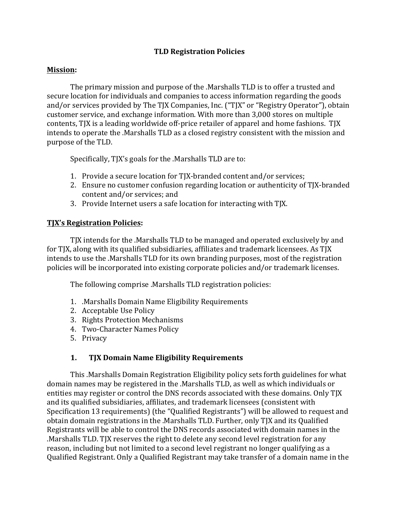### **TLD Registration Policies**

#### **Mission:**

The primary mission and purpose of the .Marshalls TLD is to offer a trusted and secure location for individuals and companies to access information regarding the goods and/or services provided by The TJX Companies, Inc. ("TJX" or "Registry Operator"), obtain customer service, and exchange information. With more than 3,000 stores on multiple contents, TJX is a leading worldwide off-price retailer of apparel and home fashions. TJX intends to operate the .Marshalls TLD as a closed registry consistent with the mission and purpose of the TLD.

Specifically, TJX's goals for the .Marshalls TLD are to:

- 1. Provide a secure location for TJX-branded content and/or services;
- 2. Ensure no customer confusion regarding location or authenticity of TJX-branded content and/or services; and
- 3. Provide Internet users a safe location for interacting with TJX.

#### **TJX's Registration Policies:**

TJX intends for the .Marshalls TLD to be managed and operated exclusively by and for TJX, along with its qualified subsidiaries, affiliates and trademark licensees. As TJX intends to use the .Marshalls TLD for its own branding purposes, most of the registration policies will be incorporated into existing corporate policies and/or trademark licenses.

The following comprise .Marshalls TLD registration policies:

- 1. Marshalls Domain Name Eligibility Requirements
- 2. Acceptable Use Policy
- 3. Rights Protection Mechanisms
- 4. Two-Character Names Policy
- 5. Privacy

### 1. TJX Domain Name Eligibility Requirements

This .Marshalls Domain Registration Eligibility policy sets forth guidelines for what domain names may be registered in the .Marshalls TLD, as well as which individuals or entities may register or control the DNS records associated with these domains. Only TJX and its qualified subsidiaries, affiliates, and trademark licensees (consistent with Specification 13 requirements) (the "Qualified Registrants") will be allowed to request and obtain domain registrations in the .Marshalls TLD. Further, only TJX and its Qualified Registrants will be able to control the DNS records associated with domain names in the .Marshalls TLD. TJX reserves the right to delete any second level registration for any reason, including but not limited to a second level registrant no longer qualifying as a Qualified Registrant. Only a Qualified Registrant may take transfer of a domain name in the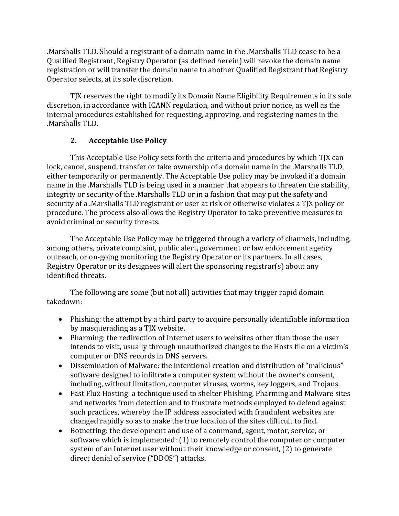.Marshalls TLD. Should a registrant of a domain name in the .Marshalls TLD cease to be a Qualified Registrant, Registry Operator (as defined herein) will revoke the domain name registration or will transfer the domain name to another Qualified Registrant that Registry Operator selects, at its sole discretion.

TJX reserves the right to modify its Domain Name Eligibility Requirements in its sole discretion, in accordance with ICANN regulation, and without prior notice, as well as the internal procedures established for requesting, approving, and registering names in the .Marshalls TLD. 

# **2.** Acceptable Use Policy

This Acceptable Use Policy sets forth the criteria and procedures by which TJX can lock, cancel, suspend, transfer or take ownership of a domain name in the .Marshalls TLD, either temporarily or permanently. The Acceptable Use policy may be invoked if a domain name in the .Marshalls TLD is being used in a manner that appears to threaten the stability, integrity or security of the .Marshalls TLD or in a fashion that may put the safety and security of a .Marshalls TLD registrant or user at risk or otherwise violates a TJX policy or procedure. The process also allows the Registry Operator to take preventive measures to avoid criminal or security threats.

The Acceptable Use Policy may be triggered through a variety of channels, including, among others, private complaint, public alert, government or law enforcement agency outreach, or on-going monitoring the Registry Operator or its partners. In all cases, Registry Operator or its designees will alert the sponsoring registrar(s) about any identified threats.

The following are some (but not all) activities that may trigger rapid domain takedown: 

- Phishing: the attempt by a third party to acquire personally identifiable information by masquerading as a TJX website.
- Pharming: the redirection of Internet users to websites other than those the user intends to visit, usually through unauthorized changes to the Hosts file on a victim's computer or DNS records in DNS servers.
- Dissemination of Malware: the intentional creation and distribution of "malicious" software designed to infiltrate a computer system without the owner's consent, including, without limitation, computer viruses, worms, key loggers, and Trojans.
- Fast Flux Hosting: a technique used to shelter Phishing, Pharming and Malware sites and networks from detection and to frustrate methods employed to defend against such practices, whereby the IP address associated with fraudulent websites are changed rapidly so as to make the true location of the sites difficult to find.
- Botnetting: the development and use of a command, agent, motor, service, or software which is implemented:  $(1)$  to remotely control the computer or computer system of an Internet user without their knowledge or consent, (2) to generate direct denial of service ("DDOS") attacks.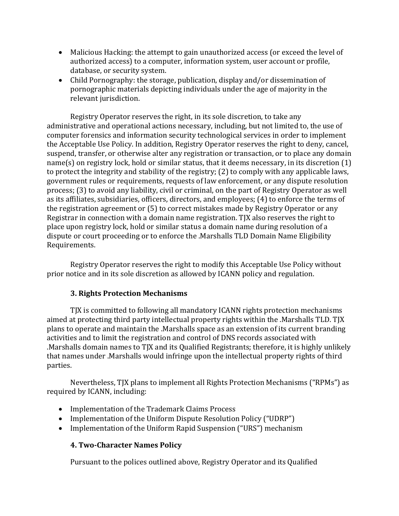- Malicious Hacking: the attempt to gain unauthorized access (or exceed the level of authorized access) to a computer, information system, user account or profile, database, or security system.
- Child Pornography: the storage, publication, display and/or dissemination of pornographic materials depicting individuals under the age of majority in the relevant jurisdiction.

Registry Operator reserves the right, in its sole discretion, to take any administrative and operational actions necessary, including, but not limited to, the use of computer forensics and information security technological services in order to implement the Acceptable Use Policy. In addition, Registry Operator reserves the right to deny, cancel, suspend, transfer, or otherwise alter any registration or transaction, or to place any domain  $name(s)$  on registry lock, hold or similar status, that it deems necessary, in its discretion  $(1)$ to protect the integrity and stability of the registry;  $(2)$  to comply with any applicable laws, government rules or requirements, requests of law enforcement, or any dispute resolution process; (3) to avoid any liability, civil or criminal, on the part of Registry Operator as well as its affiliates, subsidiaries, officers, directors, and employees; (4) to enforce the terms of the registration agreement or  $(5)$  to correct mistakes made by Registry Operator or any Registrar in connection with a domain name registration. TJX also reserves the right to place upon registry lock, hold or similar status a domain name during resolution of a dispute or court proceeding or to enforce the .Marshalls TLD Domain Name Eligibility Requirements.

Registry Operator reserves the right to modify this Acceptable Use Policy without prior notice and in its sole discretion as allowed by ICANN policy and regulation.

# **3. Rights Protection Mechanisms**

TJX is committed to following all mandatory ICANN rights protection mechanisms aimed at protecting third party intellectual property rights within the .Marshalls TLD. TJX plans to operate and maintain the .Marshalls space as an extension of its current branding activities and to limit the registration and control of DNS records associated with .Marshalls domain names to TJX and its Qualified Registrants; therefore, it is highly unlikely that names under .Marshalls would infringe upon the intellectual property rights of third parties. 

Nevertheless, TJX plans to implement all Rights Protection Mechanisms ("RPMs") as required by ICANN, including:

- Implementation of the Trademark Claims Process
- Implementation of the Uniform Dispute Resolution Policy ("UDRP")
- Implementation of the Uniform Rapid Suspension ("URS") mechanism

# **4. Two-Character Names Policy**

Pursuant to the polices outlined above, Registry Operator and its Qualified